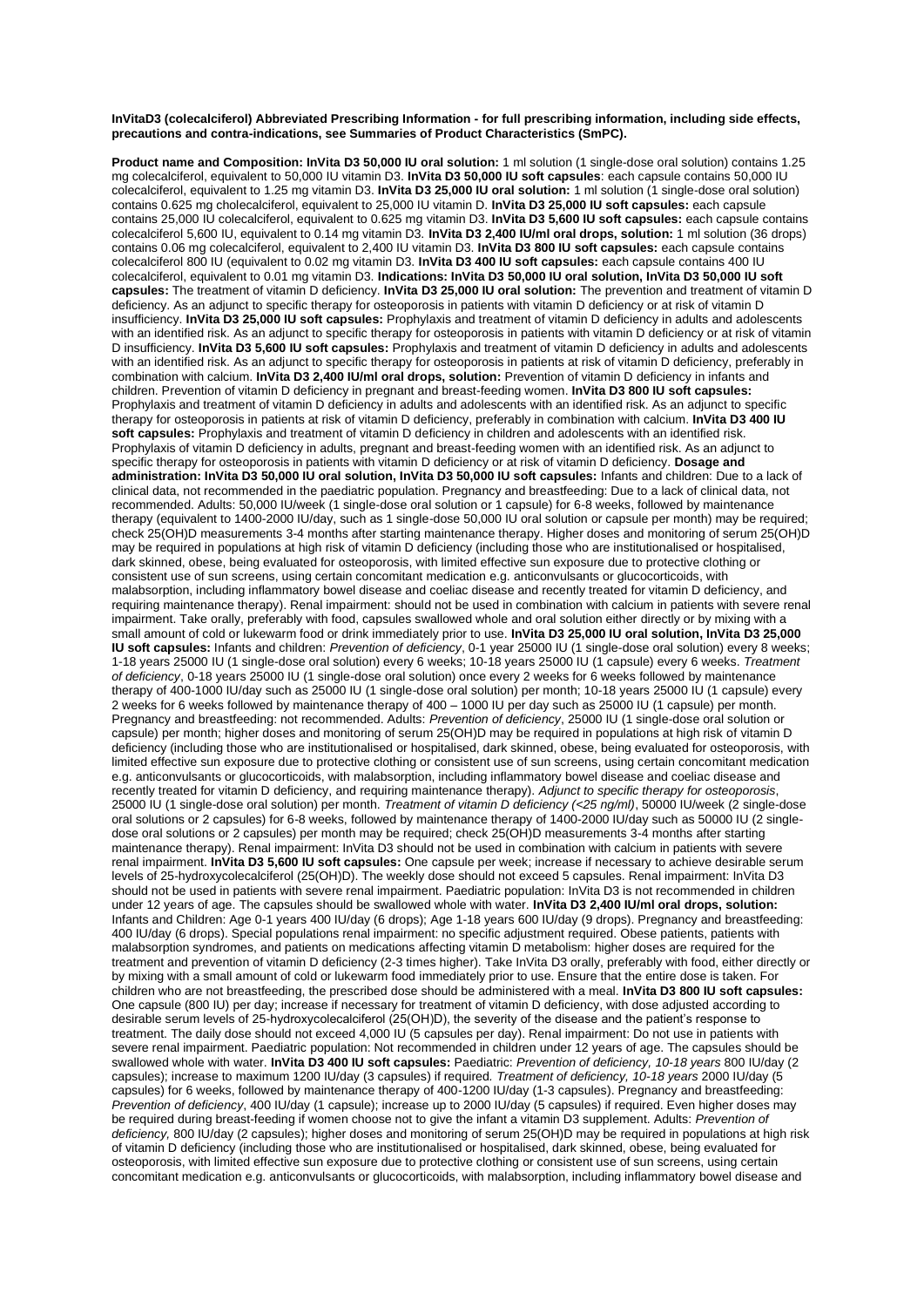## **InVitaD3 (colecalciferol) Abbreviated Prescribing Information - for full prescribing information, including side effects, precautions and contra-indications, see Summaries of Product Characteristics (SmPC).**

**Product name and Composition: InVita D3 50,000 IU oral solution:** 1 ml solution (1 single-dose oral solution) contains 1.25 mg colecalciferol, equivalent to 50,000 IU vitamin D3. **InVita D3 50,000 IU soft capsules**: each capsule contains 50,000 IU colecalciferol, equivalent to 1.25 mg vitamin D3. **InVita D3 25,000 IU oral solution:** 1 ml solution (1 single-dose oral solution) contains 0.625 mg cholecalciferol, equivalent to 25,000 IU vitamin D. **InVita D3 25,000 IU soft capsules:** each capsule contains 25,000 IU colecalciferol, equivalent to 0.625 mg vitamin D3. **InVita D3 5,600 IU soft capsules:** each capsule contains colecalciferol 5,600 IU, equivalent to 0.14 mg vitamin D3. **InVita D3 2,400 IU/ml oral drops, solution:** 1 ml solution (36 drops) contains 0.06 mg colecalciferol, equivalent to 2,400 IU vitamin D3. **InVita D3 800 IU soft capsules:** each capsule contains colecalciferol 800 IU (equivalent to 0.02 mg vitamin D3. **InVita D3 400 IU soft capsules:** each capsule contains 400 IU colecalciferol, equivalent to 0.01 mg vitamin D3. **Indications: InVita D3 50,000 IU oral solution, InVita D3 50,000 IU soft capsules:** The treatment of vitamin D deficiency. **InVita D3 25,000 IU oral solution:** The prevention and treatment of vitamin D deficiency. As an adjunct to specific therapy for osteoporosis in patients with vitamin D deficiency or at risk of vitamin D insufficiency. **InVita D3 25,000 IU soft capsules:** Prophylaxis and treatment of vitamin D deficiency in adults and adolescents with an identified risk. As an adjunct to specific therapy for osteoporosis in patients with vitamin D deficiency or at risk of vitamin D insufficiency. **InVita D3 5,600 IU soft capsules:** Prophylaxis and treatment of vitamin D deficiency in adults and adolescents with an identified risk. As an adjunct to specific therapy for osteoporosis in patients at risk of vitamin D deficiency, preferably in combination with calcium. **InVita D3 2,400 IU/ml oral drops, solution:** Prevention of vitamin D deficiency in infants and children. Prevention of vitamin D deficiency in pregnant and breast-feeding women. **InVita D3 800 IU soft capsules:**  Prophylaxis and treatment of vitamin D deficiency in adults and adolescents with an identified risk. As an adjunct to specific therapy for osteoporosis in patients at risk of vitamin D deficiency, preferably in combination with calcium. **InVita D3 400 IU soft capsules:** Prophylaxis and treatment of vitamin D deficiency in children and adolescents with an identified risk. Prophylaxis of vitamin D deficiency in adults, pregnant and breast-feeding women with an identified risk. As an adjunct to specific therapy for osteoporosis in patients with vitamin D deficiency or at risk of vitamin D deficiency. **Dosage and administration: InVita D3 50,000 IU oral solution, InVita D3 50,000 IU soft capsules:** Infants and children: Due to a lack of clinical data, not recommended in the paediatric population. Pregnancy and breastfeeding: Due to a lack of clinical data, not recommended. Adults: 50,000 IU/week (1 single-dose oral solution or 1 capsule) for 6-8 weeks, followed by maintenance therapy (equivalent to 1400-2000 IU/day, such as 1 single-dose 50,000 IU oral solution or capsule per month) may be required; check 25(OH)D measurements 3-4 months after starting maintenance therapy. Higher doses and monitoring of serum 25(OH)D may be required in populations at high risk of vitamin D deficiency (including those who are institutionalised or hospitalised, dark skinned, obese, being evaluated for osteoporosis, with limited effective sun exposure due to protective clothing or consistent use of sun screens, using certain concomitant medication e.g. anticonvulsants or glucocorticoids, with malabsorption, including inflammatory bowel disease and coeliac disease and recently treated for vitamin D deficiency, and requiring maintenance therapy). Renal impairment: should not be used in combination with calcium in patients with severe renal impairment. Take orally, preferably with food, capsules swallowed whole and oral solution either directly or by mixing with a small amount of cold or lukewarm food or drink immediately prior to use. **InVita D3 25,000 IU oral solution, InVita D3 25,000 IU soft capsules:** Infants and children: *Prevention of deficiency*, 0-1 year 25000 IU (1 single-dose oral solution) every 8 weeks; 1-18 years 25000 IU (1 single-dose oral solution) every 6 weeks; 10-18 years 25000 IU (1 capsule) every 6 weeks. *Treatment of deficiency*, 0-18 years 25000 IU (1 single-dose oral solution) once every 2 weeks for 6 weeks followed by maintenance therapy of 400-1000 IU/day such as 25000 IU (1 single-dose oral solution) per month; 10-18 years 25000 IU (1 capsule) every 2 weeks for 6 weeks followed by maintenance therapy of 400 – 1000 IU per day such as 25000 IU (1 capsule) per month. Pregnancy and breastfeeding: not recommended. Adults: *Prevention of deficiency*, 25000 IU (1 single-dose oral solution or capsule) per month; higher doses and monitoring of serum 25(OH)D may be required in populations at high risk of vitamin D deficiency (including those who are institutionalised or hospitalised, dark skinned, obese, being evaluated for osteoporosis, with limited effective sun exposure due to protective clothing or consistent use of sun screens, using certain concomitant medication e.g. anticonvulsants or glucocorticoids, with malabsorption, including inflammatory bowel disease and coeliac disease and recently treated for vitamin D deficiency, and requiring maintenance therapy). *Adjunct to specific therapy for osteoporosis*, 25000 IU (1 single-dose oral solution) per month. *Treatment of vitamin D deficiency (<25 ng/ml)*, 50000 IU/week (2 single-dose oral solutions or 2 capsules) for 6-8 weeks, followed by maintenance therapy of 1400-2000 IU/day such as 50000 IU (2 singledose oral solutions or 2 capsules) per month may be required; check 25(OH)D measurements 3-4 months after starting maintenance therapy). Renal impairment: InVita D3 should not be used in combination with calcium in patients with severe renal impairment. **InVita D3 5,600 IU soft capsules:** One capsule per week; increase if necessary to achieve desirable serum levels of 25-hydroxycolecalciferol (25(OH)D). The weekly dose should not exceed 5 capsules. Renal impairment: InVita D3 should not be used in patients with severe renal impairment. Paediatric population: InVita D3 is not recommended in children under 12 years of age. The capsules should be swallowed whole with water. **InVita D3 2,400 IU/ml oral drops, solution:**  Infants and Children: Age 0-1 years 400 IU/day (6 drops); Age 1-18 years 600 IU/day (9 drops). Pregnancy and breastfeeding: 400 IU/day (6 drops). Special populations renal impairment: no specific adjustment required. Obese patients, patients with malabsorption syndromes, and patients on medications affecting vitamin D metabolism: higher doses are required for the treatment and prevention of vitamin D deficiency (2-3 times higher). Take InVita D3 orally, preferably with food, either directly or by mixing with a small amount of cold or lukewarm food immediately prior to use. Ensure that the entire dose is taken. For children who are not breastfeeding, the prescribed dose should be administered with a meal. **InVita D3 800 IU soft capsules:** One capsule (800 IU) per day; increase if necessary for treatment of vitamin D deficiency, with dose adjusted according to desirable serum levels of 25-hydroxycolecalciferol (25(OH)D), the severity of the disease and the patient's response to treatment. The daily dose should not exceed 4,000 IU (5 capsules per day). Renal impairment: Do not use in patients with severe renal impairment. Paediatric population: Not recommended in children under 12 years of age. The capsules should be swallowed whole with water. **InVita D3 400 IU soft capsules:** Paediatric: *Prevention of deficiency, 10-18 years* 800 IU/day (2 capsules); increase to maximum 1200 IU/day (3 capsules) if required*. Treatment of deficiency, 10-18 years* 2000 IU/day (5 capsules) for 6 weeks, followed by maintenance therapy of 400-1200 IU/day (1-3 capsules). Pregnancy and breastfeeding: *Prevention of deficiency*, 400 IU/day (1 capsule); increase up to 2000 IU/day (5 capsules) if required. Even higher doses may be required during breast-feeding if women choose not to give the infant a vitamin D3 supplement. Adults: *Prevention of deficiency,* 800 IU/day (2 capsules); higher doses and monitoring of serum 25(OH)D may be required in populations at high risk of vitamin D deficiency (including those who are institutionalised or hospitalised, dark skinned, obese, being evaluated for osteoporosis, with limited effective sun exposure due to protective clothing or consistent use of sun screens, using certain concomitant medication e.g. anticonvulsants or glucocorticoids, with malabsorption, including inflammatory bowel disease and